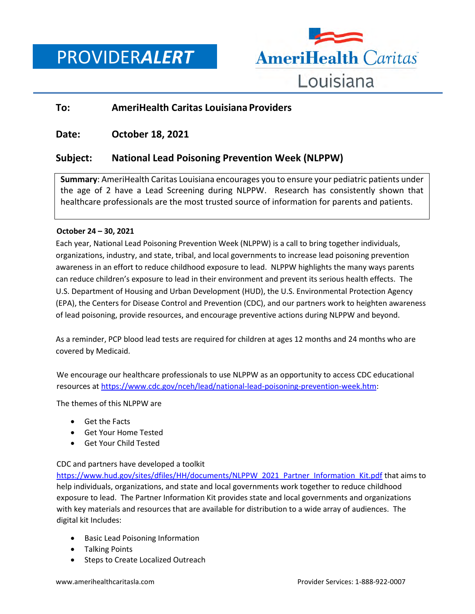PROVIDER*ALERT*



## **To: AmeriHealth Caritas Louisiana Providers**

## **Date: October 18, 2021**

# **Subject: National Lead Poisoning Prevention Week (NLPPW)**

**Summary**: AmeriHealth Caritas Louisiana encourages you to ensure your pediatric patients under the age of 2 have a Lead Screening during NLPPW. Research has consistently shown that healthcare professionals are the most trusted source of information for parents and patients.

#### **October 24 – 30, 2021**

Each year, National Lead Poisoning Prevention Week (NLPPW) is a call to bring together individuals, organizations, industry, and state, tribal, and local governments to increase lead poisoning prevention awareness in an effort to reduce childhood exposure to lead. NLPPW highlights the many ways parents can reduce children's exposure to lead in their environment and prevent its serious health effects. The U.S. Department of Housing and Urban Development (HUD), the U.S. Environmental Protection Agency (EPA), the Centers for Disease Control and Prevention (CDC), and our partners work to heighten awareness of lead poisoning, provide resources, and encourage preventive actions during NLPPW and beyond.

As a reminder, PCP blood lead tests are required for children at ages 12 months and 24 months who are covered by Medicaid.

We encourage our healthcare professionals to use NLPPW as an opportunity to access CDC educational resources at [https://www.cdc.gov/nceh/lead/national-lead-poisoning-prevention-week.htm:](https://www.cdc.gov/nceh/lead/national-lead-poisoning-prevention-week.htm)

The themes of this NLPPW are

- Get the Facts
- Get Your Home Tested
- Get Your Child Tested

#### CDC and partners have developed a toolkit

[https://www.hud.gov/sites/dfiles/HH/documents/NLPPW\\_2021\\_Partner\\_Information\\_Kit.pdf](https://www.hud.gov/sites/dfiles/HH/documents/NLPPW_2021_Partner_Information_Kit.pdf) that aims to help individuals, organizations, and state and local governments work together to reduce childhood exposure to lead. The Partner Information Kit provides state and local governments and organizations with key materials and resources that are available for distribution to a wide array of audiences. The digital kit Includes:

- Basic Lead Poisoning Information
- Talking Points
- Steps to Create Localized Outreach